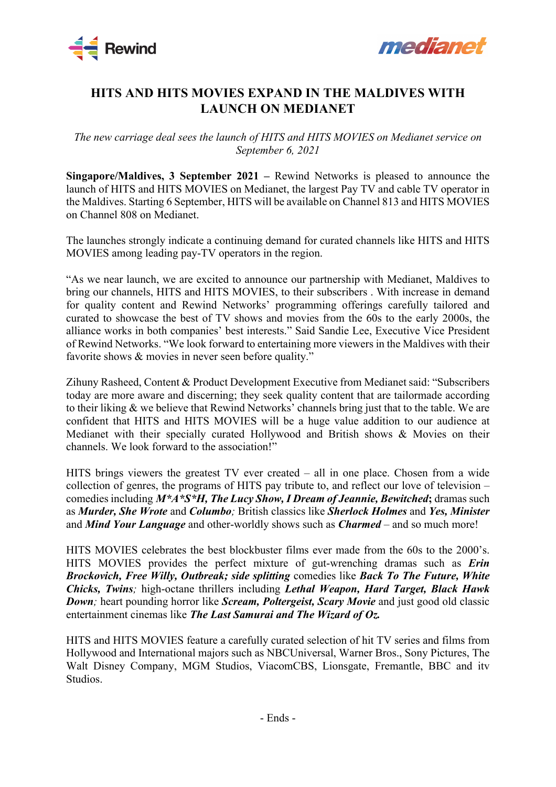



## **HITS AND HITS MOVIES EXPAND IN THE MALDIVES WITH LAUNCH ON MEDIANET**

*The new carriage deal sees the launch of HITS and HITS MOVIES on Medianet service on September 6, 2021*

**Singapore/Maldives, 3 September 2021 –** Rewind Networks is pleased to announce the launch of HITS and HITS MOVIES on Medianet, the largest Pay TV and cable TV operator in the Maldives. Starting 6 September, HITS will be available on Channel 813 and HITS MOVIES on Channel 808 on Medianet.

The launches strongly indicate a continuing demand for curated channels like HITS and HITS MOVIES among leading pay-TV operators in the region.

"As we near launch, we are excited to announce our partnership with Medianet, Maldives to bring our channels, HITS and HITS MOVIES, to their subscribers . With increase in demand for quality content and Rewind Networks' programming offerings carefully tailored and curated to showcase the best of TV shows and movies from the 60s to the early 2000s, the alliance works in both companies' best interests." Said Sandie Lee, Executive Vice President of Rewind Networks. "We look forward to entertaining more viewers in the Maldives with their favorite shows & movies in never seen before quality."

Zihuny Rasheed, Content & Product Development Executive from Medianet said: "Subscribers today are more aware and discerning; they seek quality content that are tailormade according to their liking & we believe that Rewind Networks' channels bring just that to the table. We are confident that HITS and HITS MOVIES will be a huge value addition to our audience at Medianet with their specially curated Hollywood and British shows & Movies on their channels. We look forward to the association!"

HITS brings viewers the greatest TV ever created – all in one place. Chosen from a wide collection of genres, the programs of HITS pay tribute to, and reflect our love of television – comedies including *M\*A\*S\*H, The Lucy Show, I Dream of Jeannie, Bewitched***;** dramas such as *Murder, She Wrote* and *Columbo;* British classics like *Sherlock Holmes* and *Yes, Minister* and *Mind Your Language* and other-worldly shows such as *Charmed* – and so much more!

HITS MOVIES celebrates the best blockbuster films ever made from the 60s to the 2000's. HITS MOVIES provides the perfect mixture of gut-wrenching dramas such as *Erin Brockovich, Free Willy, Outbreak; side splitting* comedies like *Back To The Future, White Chicks, Twins;* high-octane thrillers including *Lethal Weapon, Hard Target, Black Hawk Down;* heart pounding horror like *Scream, Poltergeist, Scary Movie* and just good old classic entertainment cinemas like *The Last Samurai and The Wizard of Oz.* 

HITS and HITS MOVIES feature a carefully curated selection of hit TV series and films from Hollywood and International majors such as NBCUniversal, Warner Bros., Sony Pictures, The Walt Disney Company, MGM Studios, ViacomCBS, Lionsgate, Fremantle, BBC and itv Studios.